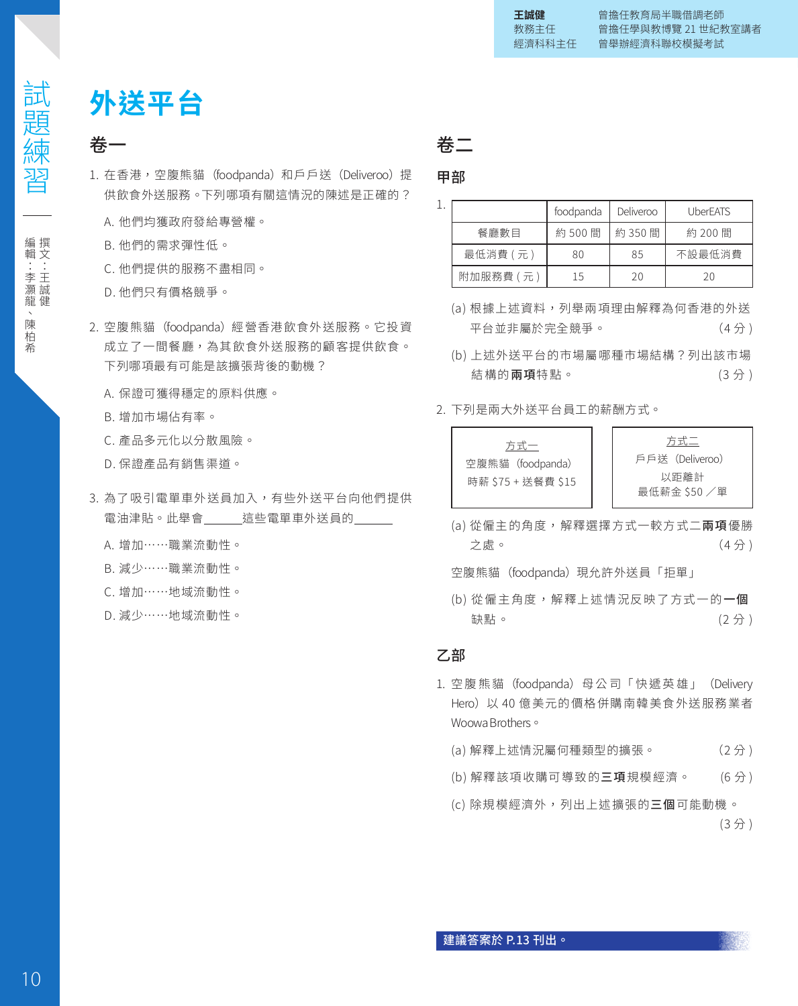# **外送平台**

## 卷一

- 1. 在香港,空腹熊貓(foodpanda)和戶戶送(Deliveroo)提 供飲食外送服務。下列哪項有關這情況的陳述是正確的?
	- A. 他們均獲政府發給專營權。
	- B. 他們的需求彈性低。
	- C. 他們提供的服務不盡相同。
	- D. 他們只有價格競爭。
- 2. 空腹熊貓(foodpanda)經營香港飲食外送服務。它投資 成立了一間餐廳,為其飲食外送服務的顧客提供飲食。 下列哪項最有可能是該擴張背後的動機?
	- A. 保證可獲得穩定的原料供應。
	- B. 增加市場佔有率。
	- C. 產品多元化以分散風險。
	- D. 保證產品有銷售渠道。
- 3. 為了吸引電單車外送員加入, 有些外送平台向他們提供 電油津貼。此舉會 這些電單車外送員的
	- A. 增加……職業流動性。
	- B. 減少……職業流動性。
	- C. 增加……地域流動性。
	- D. 減少……地域流動性。

卷二

甲部

|           | foodpanda | Deliveroo | <b>UberEATS</b> |
|-----------|-----------|-----------|-----------------|
| 餐廳數日      | 約 500 間   | 約 350 間   | 約 200 間         |
| 最低消費 (元)  | 80        | 85        | 不設最低消費          |
| 附加服務費 (元) | 15        | 20        | 20              |

- (a) 根據上述資料,列舉兩項理由解釋為何香港的外送 平台並非屬於完全競爭。 (4分)
- (b) 上述外送平台的市場屬哪種市場結構?列出該市場 結構的**兩項**特點。 (3分)
- 2. 下列是兩大外送平台員工的薪酬方式。



(a) 從僱主的角度,解釋選擇方式一較方式二**兩項**優勝 **之處。 (4 分 )** (4 分 )

空腹熊貓 (foodpanda) 現允許外送員「拒單」

(b) 從僱主角度,解釋上述情況反映了方式一的一個 **缺點。** (2分)

### 乙部

- 1. 空腹熊貓 (foodpanda) 母公司「快遞英雄」 (Delivery Hero)以 40 億美元的價格併購南韓美食外送服務業者 Woowa Brothers。
	- (a) 解釋上述情況屬何種類型的擴張。 (2 分 )
	- (b) 解釋該項收購可導致的**三項**規模經濟。 (6分)
	- (c) 除規模經濟外,列出上述擴張的三個可能動機。 (3分)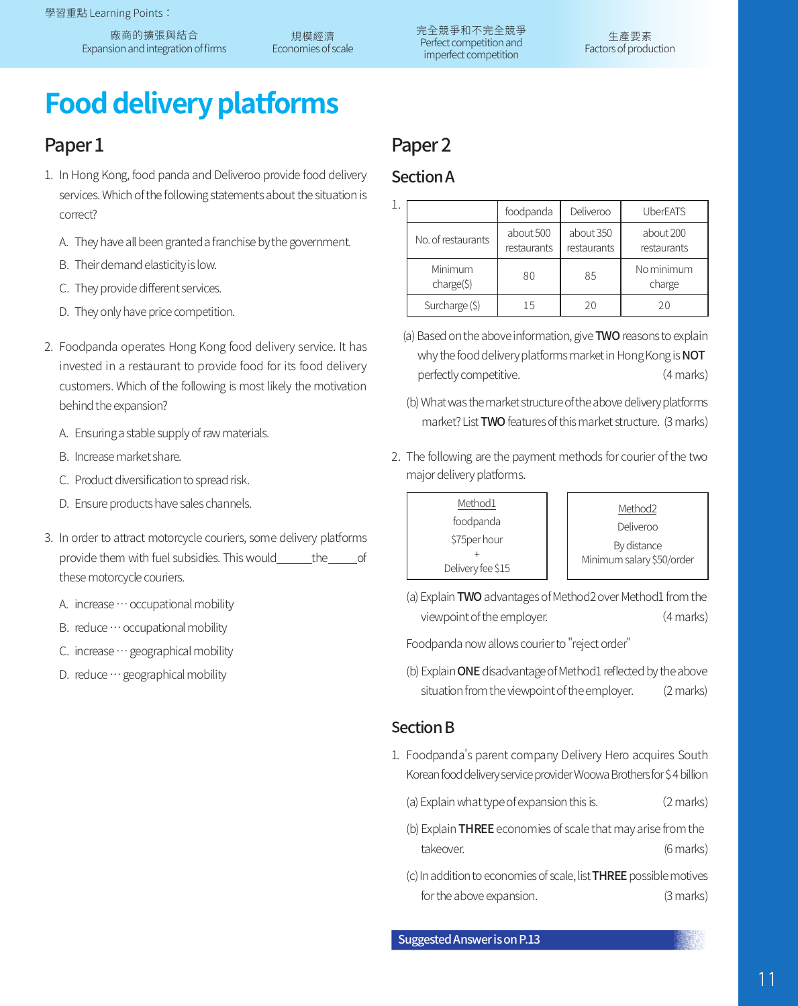廠商的擴張與結合 Expansion and integration of firms

規模經濟 Economies of scale 完全競爭和不完全競爭 Perfect competition and imperfect competition

# **Food delivery platforms**

# Paper<sub>1</sub>

- 1. In Hong Kong, food panda and Deliveroo provide food delivery services. Which of the following statements about the situation is correct?
	- A. They have all been granted a franchise by the government.
	- B. Their demand elasticity is low.
	- C. They provide different services.
	- D. They only have price competition.
- 2. Foodpanda operates Hong Kong food delivery service. It has invested in a restaurant to provide food for its food delivery customers. Which of the following is most likely the motivation behind the expansion?
	- A. Ensuring a stable supply of raw materials.
	- B. Increase market share.
	- C. Product diversification to spread risk.
	- D. Ensure products have sales channels.
- 3. In order to attract motorcycle couriers, some delivery platforms provide them with fuel subsidies. This would the of these motorcycle couriers.
	- A. increase … occupational mobility
	- B. reduce … occupational mobility
	- C. increase … geographical mobility
	- D. reduce … geographical mobility

# Paper<sub>2</sub>

## SectionA

|                          | foodpanda                | Deliveroo                | <b>UberEATS</b>          |
|--------------------------|--------------------------|--------------------------|--------------------------|
| No. of restaurants       | about 500<br>restaurants | about 350<br>restaurants | about 200<br>restaurants |
| Minimum<br>$charge(\xi)$ | 80                       | 85                       | No minimum<br>charge     |
| Surcharge (\$)           | 15                       | 20                       | 20                       |

- (a) Based on the above information, give TWO reasons to explain why the food delivery platforms market in Hong Kong is **NOT** perfectly competitive. (4 marks)
- (b) What was the market structure of the above delivery platforms market? List **TWO** features of this market structure. (3 marks)
- 2. The following are the payment methods for courier of the two major delivery platforms.

```
Method2
       Deliveroo
       By distance
Minimum salary $50/order
```
(a) Explain TWO advantages of Method2 over Method1 from the viewpoint of the employer. (4 marks)

Foodpanda now allows courier to "reject order"

(b) Explain ONE disadvantage of Method1 reflected by the above situation from the viewpoint of the employer. (2 marks)

## **Section B**

- 1. Foodpanda's parent company Delivery Hero acquires South Korean food delivery service provider Woowa Brothers for \$ 4 billion
	- (a) Explain what type of expansion this is. (2 marks)
	- (b) Explain THREE economies of scale that may arise from the takeover. (6 marks)
	- (c) In addition to economies of scale, list THREE possible motives for the above expansion. (3 marks)

Suggested Answer is on P.13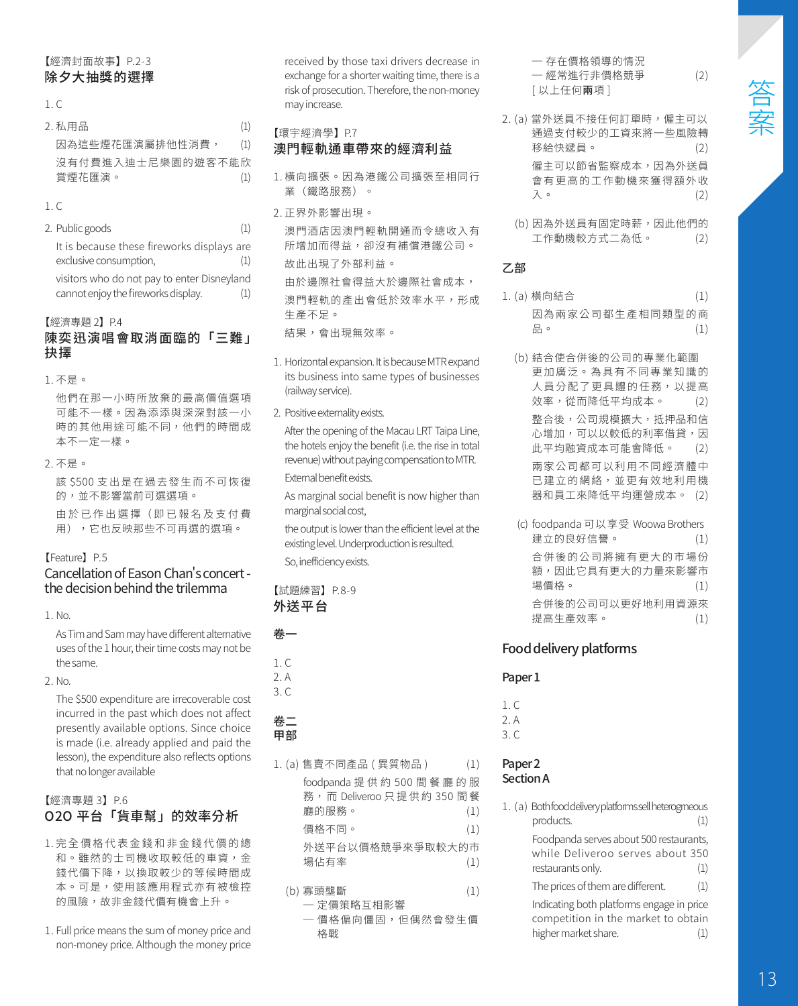#### 【經濟封面故事】P.2-3 除夕大抽獎的選擇

#### $1 \, C$

| 2.私用品             | (1) |
|-------------------|-----|
| 因為狺些煙花匯演屬排他性消費,   | (1) |
| 沒有付費進入油十尼樂園的游客不能欣 |     |
| 賞煙花匯演。            | (1) |
|                   |     |

#### 1. C

2. Public goods (1) It is because these fireworks displays are exclusive consumption, (1) visitors who do not pay to enter Disneyland cannot enjoy the fireworks display. (1)

#### 【經濟專題 2】P.4

#### 陳奕迅演唱會取消面臨的「三難」 抉擇

1. 不是。

他們在那一小時所放棄的最高價值選項 可能不一樣。因為添添與深深對該一小 時的其他用途可能不同,他們的時間成 本不一定一樣。

2. 不是。

該 \$500 支出是在過去發生而不可恢復 的,並不影響當前可選選項。 由 於 已 作 出 選 擇( 即 已 報 名 及 支 付 費

用),它也反映那些不可再選的選項。

#### 【Feature】P.5

#### Cancellation of Eason Chan's concert the decision behind the trilemma

1. No.

As Tim and Sam may have different alternative uses of the 1 hour, their time costs may not be the same.

2. No.

The \$500 expenditure are irrecoverable cost incurred in the past which does not affect presently available options. Since choice is made (i.e. already applied and paid the lesson), the expenditure also reflects options that no longer available

#### 【經濟專題 3】P.6 O2O 平台「貨車幫」的效率分析

- 1. 完全價格代表金錢和非金錢代價的總 和。雖然的士司機收取較低的車資,金 錢代價下降,以換取較少的等候時間成 本。可是,使用該應用程式亦有被檢控 的風險,故非金錢代價有機會上升。
- 1. Full price means the sum of money price and non-money price. Although the money price

received by those taxi drivers decrease in exchange for a shorter waiting time, there is a risk of prosecution. Therefore, the non-money may increase.

- 【環宇經濟學】P.7 澳門輕軌通車帶來的經濟利益
- 1. 橫向擴張。因為港鐵公司擴張至相同行 業(鐵路服務)。
- 2. 正界外影響出現。

澳門酒店因澳門輕軌開通而令總收入有 所增加而得益,卻沒有補償港鐵公司。 故此出現了外部利益。 由於邊際社會得益大於邊際社會成本, 澳門輕軌的產出會低於效率水平,形成 生產不足。

結果,會出現無效率。

- 1. Horizontal expansion. It is because MTR expand its business into same types of businesses (railway service).
- 2. Positive externality exists.

After the opening of the Macau LRT Taipa Line, the hotels enjoy the benefit (i.e. the rise in total revenue) without paying compensation to MTR. External benefit exists.

As marginal social benefit is now higher than marginal social cost,

the output is lower than the efficient level at the existing level. Underproduction is resulted. So, inefficiency exists.

#### 【試題練習】P.8-9 外送平台

卷一

- 1. C 2. A
- 3. C

#### 卷二 甲部

1. (a) 售賣不同產品 ( 異質物品 ) (1)

foodpanda 提 供 約 500 間 餐 廳 的 服 務, 而 Deliveroo 只 提 供 約 350 間 餐 廳的服務。 (1) 價格不同。 (1) 外送平台以價格競爭來爭取較大的市 場佔有率 (1)

- (b) 寡頭壟斷 (1)
	- ─ 定價策略互相影響
	- ─ 價格偏向僵固,但偶然會發生價 格戰

─ 存在價格領導的情況 ─ 經常進行非價格競爭 (2) [ 以上任何兩項 ]

- 2. (a) 當外送員不接任何訂單時,僱主可以 通過支付較少的工資來將一些風險轉<br>移給快遞員。 (2) 移給快遞員。 僱主可以節省監察成本,因為外送員 會有更高的工作動機來獲得額外收  $\mathcal{A}$   $\circ$  (2)
	- (b) 因為外送員有固定時薪,因此他們的 工作動機較方式二為低。 (2)

#### 乙部

- 1. (a) 橫向結合 (1) 因為兩家公司都生產相同類型的商 品。 (1)
	- (b) 結合使合併後的公司的專業化範圍 更加廣泛。為具有不同專業知識的 人員分配了更具體的任務,以提高 效率,從而降低平均成本。 (2) 整合後,公司規模擴大,抵押品和信 心增加,可以以較低的利率借貸,因 此平均融資成本可能會降低。 (2) 兩家公司都可以利用不同經濟體中 已建立的網絡,並更有效地利用機 器和員工來降低平均運營成本。 (2)
	- (c) foodpanda 可以享受 Woowa Brothers 建立的良好信譽。 (1) 合併後的公司將擁有更大的市場份 額,因此它具有更大的力量來影響市 場價格。 (1) 合併後的公司可以更好地利用資源來 提高生產效率。 (1)

### Food delivery platforms

#### Paper<sub>1</sub>

 $1 \, C$  $2.4$ 3. C

#### Paper<sub>2</sub> Section A

1. (a) Both food delivery platforms sell heterogrneous products. (1) Foodpanda serves about 500 restaurants, while Deliveroo serves about 350 restaurants only. (1) The prices of them are different.  $(1)$ Indicating both platforms engage in price

competition in the market to obtain<br>higher market share. (1) higher market share.